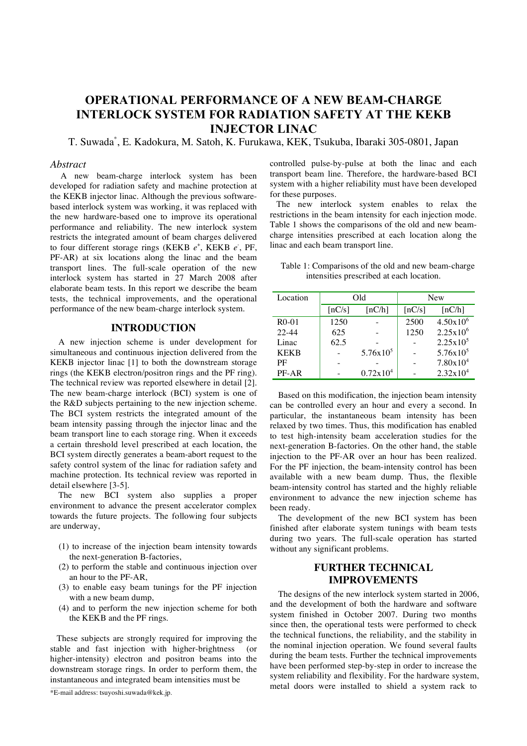# **OPERATIONAL PERFORMANCE OF A NEW BEAM-CHARGE INTERLOCK SYSTEM FOR RADIATION SAFETY AT THE KEKB INJECTOR LINAC**

T. Suwada\* , E. Kadokura, M. Satoh, K. Furukawa, KEK, Tsukuba, Ibaraki 305-0801, Japan

## *Abstract*

A new beam-charge interlock system has been developed for radiation safety and machine protection at the KEKB injector linac. Although the previous softwarebased interlock system was working, it was replaced with the new hardware-based one to improve its operational performance and reliability. The new interlock system restricts the integrated amount of beam charges delivered to four different storage rings (KEKB  $e^+$ , KEKB  $e^-$ , PF, PF-AR) at six locations along the linac and the beam transport lines. The full-scale operation of the new interlock system has started in 27 March 2008 after elaborate beam tests. In this report we describe the beam tests, the technical improvements, and the operational performance of the new beam-charge interlock system.

## **INTRODUCTION**

A new injection scheme is under development for simultaneous and continuous injection delivered from the KEKB injector linac [1] to both the downstream storage rings (the KEKB electron/positron rings and the PF ring). The technical review was reported elsewhere in detail [2]. The new beam-charge interlock (BCI) system is one of the R&D subjects pertaining to the new injection scheme. The BCI system restricts the integrated amount of the beam intensity passing through the injector linac and the beam transport line to each storage ring. When it exceeds a certain threshold level prescribed at each location, the BCI system directly generates a beam-abort request to the safety control system of the linac for radiation safety and machine protection. Its technical review was reported in detail elsewhere [3-5].

The new BCI system also supplies a proper environment to advance the present accelerator complex towards the future projects. The following four subjects are underway,

- (1) to increase of the injection beam intensity towards the next-generation B-factories,
- (2) to perform the stable and continuous injection over an hour to the PF-AR,
- (3) to enable easy beam tunings for the PF injection with a new beam dump,
- (4) and to perform the new injection scheme for both the KEKB and the PF rings.

These subjects are strongly required for improving the stable and fast injection with higher-brightness (or higher-intensity) electron and positron beams into the downstream storage rings. In order to perform them, the instantaneous and integrated beam intensities must be

controlled pulse-by-pulse at both the linac and each transport beam line. Therefore, the hardware-based BCI system with a higher reliability must have been developed for these purposes.

The new interlock system enables to relax the restrictions in the beam intensity for each injection mode. Table 1 shows the comparisons of the old and new beamcharge intensities prescribed at each location along the linac and each beam transport line.

|  | Table 1: Comparisons of the old and new beam-charge |  |
|--|-----------------------------------------------------|--|
|  | intensities prescribed at each location.            |  |

| Location    | Old    |                      | <b>New</b>           |                      |
|-------------|--------|----------------------|----------------------|----------------------|
|             | [nC/s] | [nC/h]               | $\lceil nC/s \rceil$ | [nC/h]               |
| $R0-01$     | 1250   |                      | 2500                 | $4.50x10^{6}$        |
| $22 - 44$   | 625    |                      | 1250                 | $2.25x10^{6}$        |
| Linac       | 62.5   |                      |                      | $2.25x10^5$          |
| <b>KEKB</b> |        | $5.76x10^{5}$        |                      | $5.76x10^{5}$        |
| PF          |        |                      |                      | $7.80 \times 10^{4}$ |
| PF-AR       |        | $0.72 \times 10^{4}$ |                      | $2.32x10^4$          |

Based on this modification, the injection beam intensity can be controlled every an hour and every a second. In particular, the instantaneous beam intensity has been relaxed by two times. Thus, this modification has enabled to test high-intensity beam acceleration studies for the next-generation B-factories. On the other hand, the stable injection to the PF-AR over an hour has been realized. For the PF injection, the beam-intensity control has been available with a new beam dump. Thus, the flexible beam-intensity control has started and the highly reliable environment to advance the new injection scheme has been ready.

The development of the new BCI system has been finished after elaborate system tunings with beam tests during two years. The full-scale operation has started without any significant problems.

## **FURTHER TECHNICAL IMPROVEMENTS**

The designs of the new interlock system started in 2006, and the development of both the hardware and software system finished in October 2007. During two months since then, the operational tests were performed to check the technical functions, the reliability, and the stability in the nominal injection operation. We found several faults during the beam tests. Further the technical improvements have been performed step-by-step in order to increase the system reliability and flexibility. For the hardware system, metal doors were installed to shield a system rack to

<sup>\*</sup>E-mail address: tsuyoshi.suwada@kek.jp.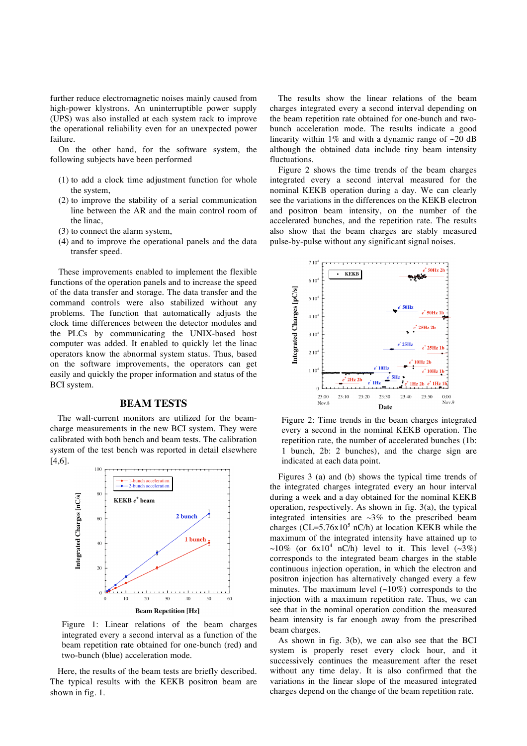further reduce electromagnetic noises mainly caused from high-power klystrons. An uninterruptible power supply (UPS) was also installed at each system rack to improve the operational reliability even for an unexpected power failure.

On the other hand, for the software system, the following subjects have been performed

- (1) to add a clock time adjustment function for whole the system,
- (2) to improve the stability of a serial communication line between the AR and the main control room of the linac,
- (3) to connect the alarm system,
- (4) and to improve the operational panels and the data transfer speed.

These improvements enabled to implement the flexible functions of the operation panels and to increase the speed of the data transfer and storage. The data transfer and the command controls were also stabilized without any problems. The function that automatically adjusts the clock time differences between the detector modules and the PLCs by communicating the UNIX-based host computer was added. It enabled to quickly let the linac operators know the abnormal system status. Thus, based on the software improvements, the operators can get easily and quickly the proper information and status of the BCI system.

## **BEAM TESTS**

The wall-current monitors are utilized for the beamcharge measurements in the new BCI system. They were calibrated with both bench and beam tests. The calibration system of the test bench was reported in detail elsewhere [4,6].



Figure 1: Linear relations of the beam charges integrated every a second interval as a function of the beam repetition rate obtained for one-bunch (red) and two-bunch (blue) acceleration mode.

Here, the results of the beam tests are briefly described. The typical results with the KEKB positron beam are shown in fig. 1.

The results show the linear relations of the beam charges integrated every a second interval depending on the beam repetition rate obtained for one-bunch and twobunch acceleration mode. The results indicate a good linearity within 1% and with a dynamic range of  $\sim$ 20 dB although the obtained data include tiny beam intensity fluctuations.

Figure 2 shows the time trends of the beam charges integrated every a second interval measured for the nominal KEKB operation during a day. We can clearly see the variations in the differences on the KEKB electron and positron beam intensity, on the number of the accelerated bunches, and the repetition rate. The results also show that the beam charges are stably measured pulse-by-pulse without any significant signal noises.



Figure 2: Time trends in the beam charges integrated every a second in the nominal KEKB operation. The repetition rate, the number of accelerated bunches (1b: 1 bunch, 2b: 2 bunches), and the charge sign are indicated at each data point.

Figures 3 (a) and (b) shows the typical time trends of the integrated charges integrated every an hour interval during a week and a day obtained for the nominal KEKB operation, respectively. As shown in fig. 3(a), the typical integrated intensities are  $\sim$ 3% to the prescribed beam charges (CL=5.76x10<sup>5</sup> nC/h) at location KEKB while the maximum of the integrated intensity have attained up to ~10% (or  $6x10^4$  nC/h) level to it. This level (~3%) corresponds to the integrated beam charges in the stable continuous injection operation, in which the electron and positron injection has alternatively changed every a few minutes. The maximum level  $(\sim 10\%)$  corresponds to the injection with a maximum repetition rate. Thus, we can see that in the nominal operation condition the measured beam intensity is far enough away from the prescribed beam charges.

As shown in fig. 3(b), we can also see that the BCI system is properly reset every clock hour, and it successively continues the measurement after the reset without any time delay. It is also confirmed that the variations in the linear slope of the measured integrated charges depend on the change of the beam repetition rate.